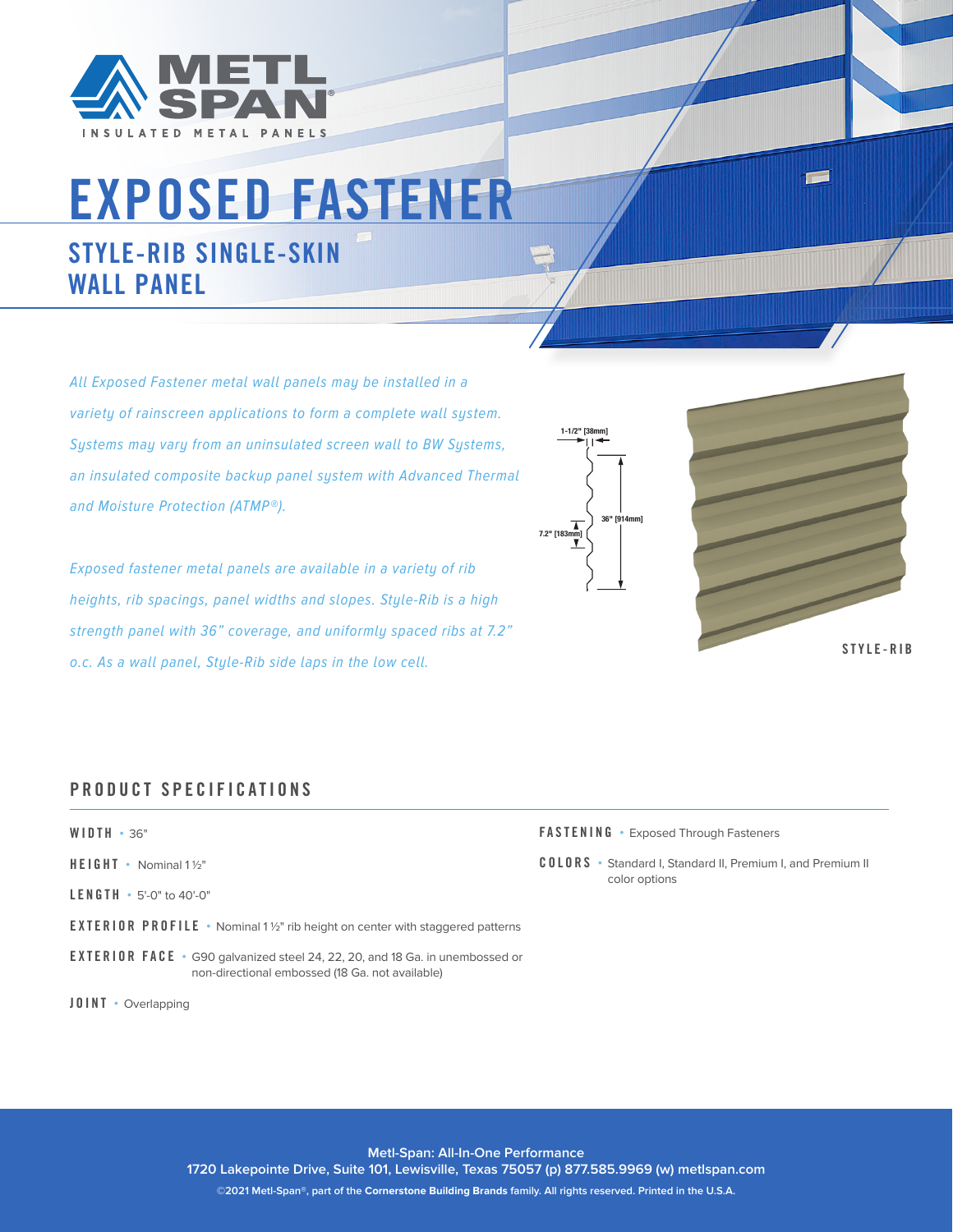

# EXPOSED FASTENER

# STYLE-RIB SINGLE-SKIN WALL PANEL

All Exposed Fastener metal wall panels may be installed in a variety of rainscreen applications to form a complete wall system. Systems may vary from an uninsulated screen wall to BW Systems, an insulated composite backup panel system with Advanced Thermal and Moisture Protection (ATMP®).

Exposed fastener metal panels are available in a variety of rib heights, rib spacings, panel widths and slopes. Style-Rib is a high strength panel with 36" coverage, and uniformly spaced ribs at 7.2" o.c. As a wall panel, Style-Rib side laps in the low cell.





S T Y L E - R I B

### PRODUCT SPECIFICATIONS

#### WIDTH **•** 36"

- HEIGHT **•** Nominal 1 1/2"
- LENGTH **•** 5'-0" to 40'-0"
- EXTERIOR PROFILE Nominal 1<sup>1/2</sup>" rib height on center with staggered patterns
- EXTERIOR FACE **•** G90 galvanized steel 24, 22, 20, and 18 Ga. in unembossed or non-directional embossed (18 Ga. not available)

JOINT **•** Overlapping

FASTENING **•** Exposed Through Fasteners

COLORS **•** Standard I, Standard II, Premium I, and Premium II color options

**Metl-Span: All-In-One Performance**

**1720 Lakepointe Drive, Suite 101, Lewisville, Texas 75057 (p) 877.585.9969 (w) metlspan.com**

**©2021 Metl-Span®, part of the Cornerstone Building Brands family. All rights reserved. Printed in the U.S.A.**